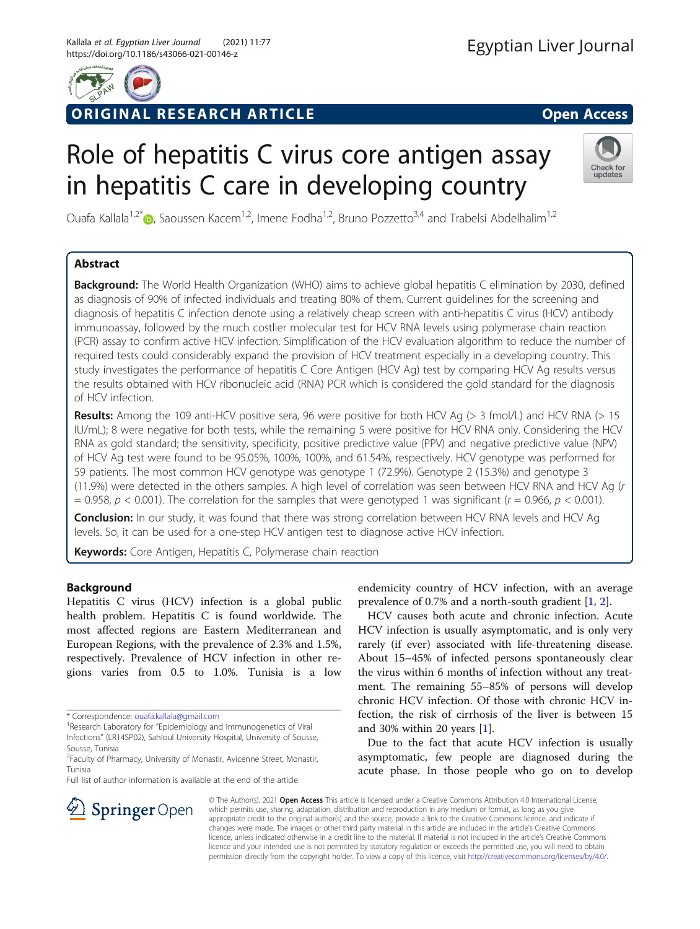

# ORIGINAL RESEARCH ARTICLE **CONSIDERING OPEN ACCESS**

# Role of hepatitis C virus core antigen assay in hepatitis C care in developing country



Ouafa Kallala<sup>1[,](http://orcid.org/0000-0002-3240-3045)2\*</sup>  $\bullet$ , Saoussen Kacem<sup>1,2</sup>, Imene Fodha<sup>1,2</sup>, Bruno Pozzetto<sup>3,4</sup> and Trabelsi Abdelhalim<sup>1,2</sup>

# Abstract

Background: The World Health Organization (WHO) aims to achieve global hepatitis C elimination by 2030, defined as diagnosis of 90% of infected individuals and treating 80% of them. Current guidelines for the screening and diagnosis of hepatitis C infection denote using a relatively cheap screen with anti-hepatitis C virus (HCV) antibody immunoassay, followed by the much costlier molecular test for HCV RNA levels using polymerase chain reaction (PCR) assay to confirm active HCV infection. Simplification of the HCV evaluation algorithm to reduce the number of required tests could considerably expand the provision of HCV treatment especially in a developing country. This study investigates the performance of hepatitis C Core Antigen (HCV Ag) test by comparing HCV Ag results versus the results obtained with HCV ribonucleic acid (RNA) PCR which is considered the gold standard for the diagnosis of HCV infection.

Results: Among the 109 anti-HCV positive sera, 96 were positive for both HCV Ag (> 3 fmol/L) and HCV RNA (> 15 IU/mL); 8 were negative for both tests, while the remaining 5 were positive for HCV RNA only. Considering the HCV RNA as gold standard; the sensitivity, specificity, positive predictive value (PPV) and negative predictive value (NPV) of HCV Ag test were found to be 95.05%, 100%, 100%, and 61.54%, respectively. HCV genotype was performed for 59 patients. The most common HCV genotype was genotype 1 (72.9%). Genotype 2 (15.3%) and genotype 3 (11.9%) were detected in the others samples. A high level of correlation was seen between HCV RNA and HCV Ag (r = 0.958,  $p$  < 0.001). The correlation for the samples that were genotyped 1 was significant ( $r = 0.966$ ,  $p$  < 0.001).

**Conclusion:** In our study, it was found that there was strong correlation between HCV RNA levels and HCV Ag levels. So, it can be used for a one-step HCV antigen test to diagnose active HCV infection.

Keywords: Core Antigen, Hepatitis C, Polymerase chain reaction

## Background

Hepatitis C virus (HCV) infection is a global public health problem. Hepatitis C is found worldwide. The most affected regions are Eastern Mediterranean and European Regions, with the prevalence of 2.3% and 1.5%, respectively. Prevalence of HCV infection in other regions varies from 0.5 to 1.0%. Tunisia is a low

Full list of author information is available at the end of the article

endemicity country of HCV infection, with an average prevalence of 0.7% and a north-south gradient [[1](#page-4-0), [2\]](#page-4-0).

HCV causes both acute and chronic infection. Acute HCV infection is usually asymptomatic, and is only very rarely (if ever) associated with life-threatening disease. About 15–45% of infected persons spontaneously clear the virus within 6 months of infection without any treatment. The remaining 55–85% of persons will develop chronic HCV infection. Of those with chronic HCV infection, the risk of cirrhosis of the liver is between 15 and 30% within 20 years [[1\]](#page-4-0).

Due to the fact that acute HCV infection is usually asymptomatic, few people are diagnosed during the acute phase. In those people who go on to develop



© The Author(s). 2021 Open Access This article is licensed under a Creative Commons Attribution 4.0 International License, which permits use, sharing, adaptation, distribution and reproduction in any medium or format, as long as you give appropriate credit to the original author(s) and the source, provide a link to the Creative Commons licence, and indicate if changes were made. The images or other third party material in this article are included in the article's Creative Commons licence, unless indicated otherwise in a credit line to the material. If material is not included in the article's Creative Commons licence and your intended use is not permitted by statutory regulation or exceeds the permitted use, you will need to obtain permission directly from the copyright holder. To view a copy of this licence, visit <http://creativecommons.org/licenses/by/4.0/>.

<sup>\*</sup> Correspondence: [ouafa.kallala@gmail.com](mailto:ouafa.kallala@gmail.com) <sup>1</sup>

<sup>&</sup>lt;sup>1</sup>Research Laboratory for "Epidemiology and Immunogenetics of Viral Infections" (LR14SP02), Sahloul University Hospital, University of Sousse, Sousse, Tunisia

<sup>&</sup>lt;sup>2</sup> Faculty of Pharmacy, University of Monastir, Avicenne Street, Monastir, Tunisia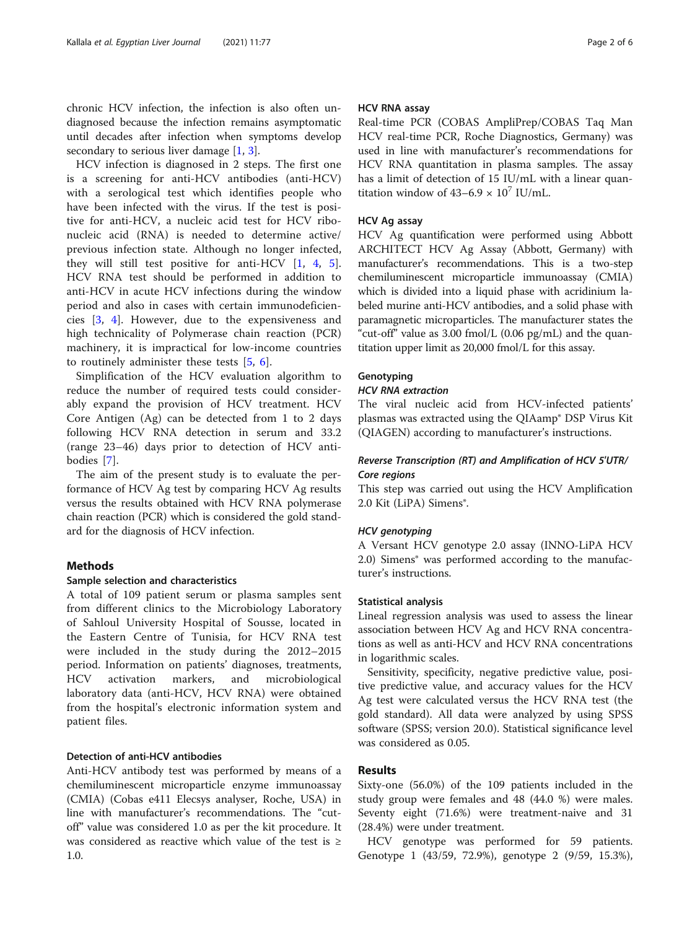chronic HCV infection, the infection is also often undiagnosed because the infection remains asymptomatic until decades after infection when symptoms develop secondary to serious liver damage [\[1](#page-4-0), [3](#page-4-0)].

HCV infection is diagnosed in 2 steps. The first one is a screening for anti-HCV antibodies (anti-HCV) with a serological test which identifies people who have been infected with the virus. If the test is positive for anti-HCV, a nucleic acid test for HCV ribonucleic acid (RNA) is needed to determine active/ previous infection state. Although no longer infected, they will still test positive for anti-HCV [[1,](#page-4-0) [4](#page-4-0), [5](#page-4-0)]. HCV RNA test should be performed in addition to anti-HCV in acute HCV infections during the window period and also in cases with certain immunodeficiencies [\[3](#page-4-0), [4\]](#page-4-0). However, due to the expensiveness and high technicality of Polymerase chain reaction (PCR) machinery, it is impractical for low-income countries to routinely administer these tests [[5,](#page-4-0) [6](#page-4-0)].

Simplification of the HCV evaluation algorithm to reduce the number of required tests could considerably expand the provision of HCV treatment. HCV Core Antigen (Ag) can be detected from 1 to 2 days following HCV RNA detection in serum and 33.2 (range 23–46) days prior to detection of HCV antibodies [[7\]](#page-4-0).

The aim of the present study is to evaluate the performance of HCV Ag test by comparing HCV Ag results versus the results obtained with HCV RNA polymerase chain reaction (PCR) which is considered the gold standard for the diagnosis of HCV infection.

#### Methods

#### Sample selection and characteristics

A total of 109 patient serum or plasma samples sent from different clinics to the Microbiology Laboratory of Sahloul University Hospital of Sousse, located in the Eastern Centre of Tunisia, for HCV RNA test were included in the study during the 2012–2015 period. Information on patients' diagnoses, treatments, HCV activation markers, and microbiological laboratory data (anti-HCV, HCV RNA) were obtained from the hospital's electronic information system and patient files.

#### Detection of anti-HCV antibodies

Anti-HCV antibody test was performed by means of a chemiluminescent microparticle enzyme immunoassay (CMIA) (Cobas e411 Elecsys analyser, Roche, USA) in line with manufacturer's recommendations. The "cutoff" value was considered 1.0 as per the kit procedure. It was considered as reactive which value of the test is ≥ 1.0.

#### HCV RNA assay

Real-time PCR (COBAS AmpliPrep/COBAS Taq Man HCV real-time PCR, Roche Diagnostics, Germany) was used in line with manufacturer's recommendations for HCV RNA quantitation in plasma samples. The assay has a limit of detection of 15 IU/mL with a linear quantitation window of  $43-6.9 \times 10^7$  IU/mL.

#### HCV Ag assay

HCV Ag quantification were performed using Abbott ARCHITECT HCV Ag Assay (Abbott, Germany) with manufacturer's recommendations. This is a two-step chemiluminescent microparticle immunoassay (CMIA) which is divided into a liquid phase with acridinium labeled murine anti-HCV antibodies, and a solid phase with paramagnetic microparticles. The manufacturer states the "cut-off" value as  $3.00 \text{ fmol/L}$  (0.06 pg/mL) and the quantitation upper limit as 20,000 fmol/L for this assay.

#### **Genotyping**

### HCV RNA extraction

The viral nucleic acid from HCV-infected patients' plasmas was extracted using the QIAamp® DSP Virus Kit (QIAGEN) according to manufacturer's instructions.

#### Reverse Transcription (RT) and Amplification of HCV 5′UTR/ Core regions

This step was carried out using the HCV Amplification 2.0 Kit (LiPA) Simens®.

#### HCV genotyping

A Versant HCV genotype 2.0 assay (INNO-LiPA HCV 2.0) Simens<sup>®</sup> was performed according to the manufacturer's instructions.

### Statistical analysis

Lineal regression analysis was used to assess the linear association between HCV Ag and HCV RNA concentrations as well as anti-HCV and HCV RNA concentrations in logarithmic scales.

Sensitivity, specificity, negative predictive value, positive predictive value, and accuracy values for the HCV Ag test were calculated versus the HCV RNA test (the gold standard). All data were analyzed by using SPSS software (SPSS; version 20.0). Statistical significance level was considered as 0.05.

#### Results

Sixty-one (56.0%) of the 109 patients included in the study group were females and 48 (44.0 %) were males. Seventy eight (71.6%) were treatment-naive and 31 (28.4%) were under treatment.

HCV genotype was performed for 59 patients. Genotype 1 (43/59, 72.9%), genotype 2 (9/59, 15.3%),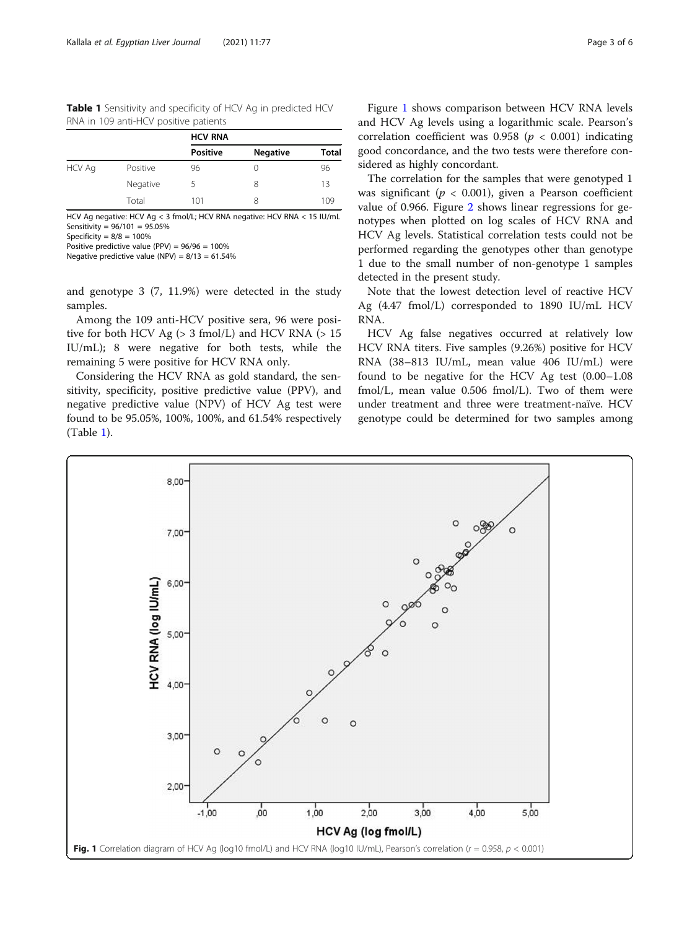Table 1 Sensitivity and specificity of HCV Ag in predicted HCV RNA in 109 anti-HCV positive patients

|               |          | <b>HCV RNA</b>  |                 |       |
|---------------|----------|-----------------|-----------------|-------|
|               |          | <b>Positive</b> | <b>Negative</b> | Total |
| <b>HCV Ag</b> | Positive | 96              | 0               | 96    |
|               | Negative | 5               | 8               | 13    |
|               | Total    | 101             | 8               | 109   |

HCV Ag negative: HCV Ag < 3 fmol/L; HCV RNA negative: HCV RNA < 15 IU/mL Sensitivity =  $96/101 = 95.05\%$ 

Specificity =  $8/8 = 100\%$ 

Positive predictive value (PPV) = 96/96 = 100%

Negative predictive value (NPV) =  $8/13 = 61.54\%$ 

and genotype 3 (7, 11.9%) were detected in the study samples.

Among the 109 anti-HCV positive sera, 96 were positive for both HCV Ag  $(> 3 \text{ fmol/L})$  and HCV RNA  $(> 15$ IU/mL); 8 were negative for both tests, while the remaining 5 were positive for HCV RNA only.

Considering the HCV RNA as gold standard, the sensitivity, specificity, positive predictive value (PPV), and negative predictive value (NPV) of HCV Ag test were found to be 95.05%, 100%, 100%, and 61.54% respectively (Table 1).

Figure 1 shows comparison between HCV RNA levels and HCV Ag levels using a logarithmic scale. Pearson's correlation coefficient was  $0.958$  ( $p < 0.001$ ) indicating good concordance, and the two tests were therefore considered as highly concordant.

The correlation for the samples that were genotyped 1 was significant ( $p < 0.001$ ), given a Pearson coefficient value of 0.966. Figure [2](#page-3-0) shows linear regressions for genotypes when plotted on log scales of HCV RNA and HCV Ag levels. Statistical correlation tests could not be performed regarding the genotypes other than genotype 1 due to the small number of non-genotype 1 samples detected in the present study.

Note that the lowest detection level of reactive HCV Ag (4.47 fmol/L) corresponded to 1890 IU/mL HCV RNA.

HCV Ag false negatives occurred at relatively low HCV RNA titers. Five samples (9.26%) positive for HCV RNA (38–813 IU/mL, mean value 406 IU/mL) were found to be negative for the HCV Ag test (0.00–1.08 fmol/L, mean value 0.506 fmol/L). Two of them were under treatment and three were treatment-naïve. HCV genotype could be determined for two samples among

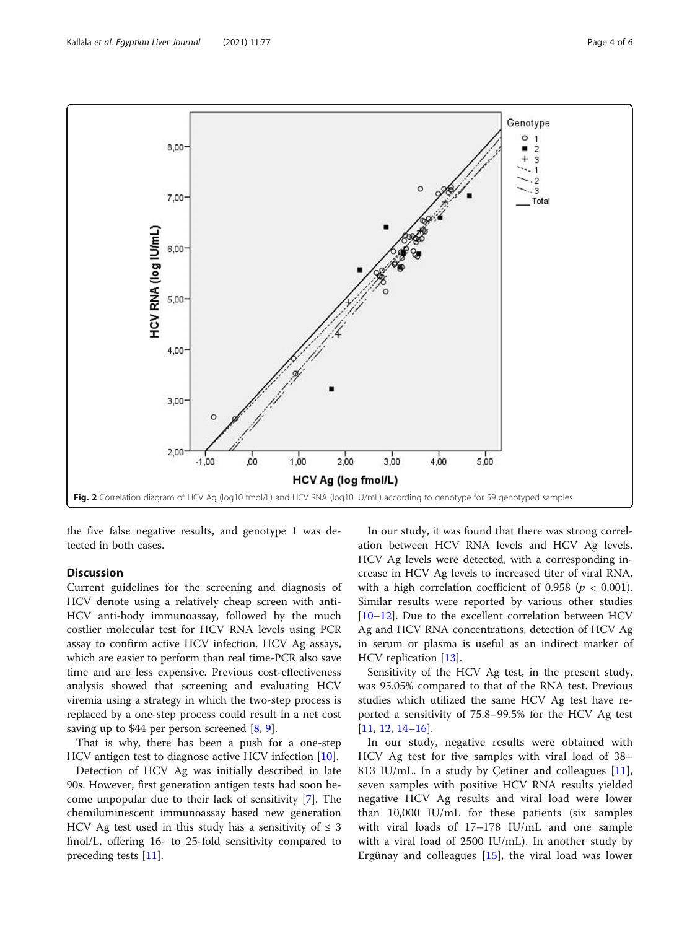<span id="page-3-0"></span>

the five false negative results, and genotype 1 was detected in both cases.

#### **Discussion**

Current guidelines for the screening and diagnosis of HCV denote using a relatively cheap screen with anti-HCV anti-body immunoassay, followed by the much costlier molecular test for HCV RNA levels using PCR assay to confirm active HCV infection. HCV Ag assays, which are easier to perform than real time-PCR also save time and are less expensive. Previous cost-effectiveness analysis showed that screening and evaluating HCV viremia using a strategy in which the two-step process is replaced by a one-step process could result in a net cost saving up to \$44 per person screened [[8,](#page-5-0) [9\]](#page-5-0).

That is why, there has been a push for a one-step HCV antigen test to diagnose active HCV infection [\[10\]](#page-5-0).

Detection of HCV Ag was initially described in late 90s. However, first generation antigen tests had soon become unpopular due to their lack of sensitivity [\[7](#page-4-0)]. The chemiluminescent immunoassay based new generation HCV Ag test used in this study has a sensitivity of  $\leq 3$ fmol/L, offering 16- to 25-fold sensitivity compared to preceding tests [\[11\]](#page-5-0).

In our study, it was found that there was strong correlation between HCV RNA levels and HCV Ag levels. HCV Ag levels were detected, with a corresponding increase in HCV Ag levels to increased titer of viral RNA, with a high correlation coefficient of 0.958 ( $p < 0.001$ ). Similar results were reported by various other studies [[10](#page-5-0)–[12](#page-5-0)]. Due to the excellent correlation between HCV Ag and HCV RNA concentrations, detection of HCV Ag in serum or plasma is useful as an indirect marker of HCV replication [\[13](#page-5-0)].

Sensitivity of the HCV Ag test, in the present study, was 95.05% compared to that of the RNA test. Previous studies which utilized the same HCV Ag test have reported a sensitivity of 75.8–99.5% for the HCV Ag test [[11,](#page-5-0) [12,](#page-5-0) [14](#page-5-0)–[16](#page-5-0)].

In our study, negative results were obtained with HCV Ag test for five samples with viral load of 38– 813 IU/mL. In a study by Cetiner and colleagues  $[11]$  $[11]$ , seven samples with positive HCV RNA results yielded negative HCV Ag results and viral load were lower than 10,000 IU/mL for these patients (six samples with viral loads of 17–178 IU/mL and one sample with a viral load of 2500 IU/mL). In another study by Ergünay and colleagues [\[15](#page-5-0)], the viral load was lower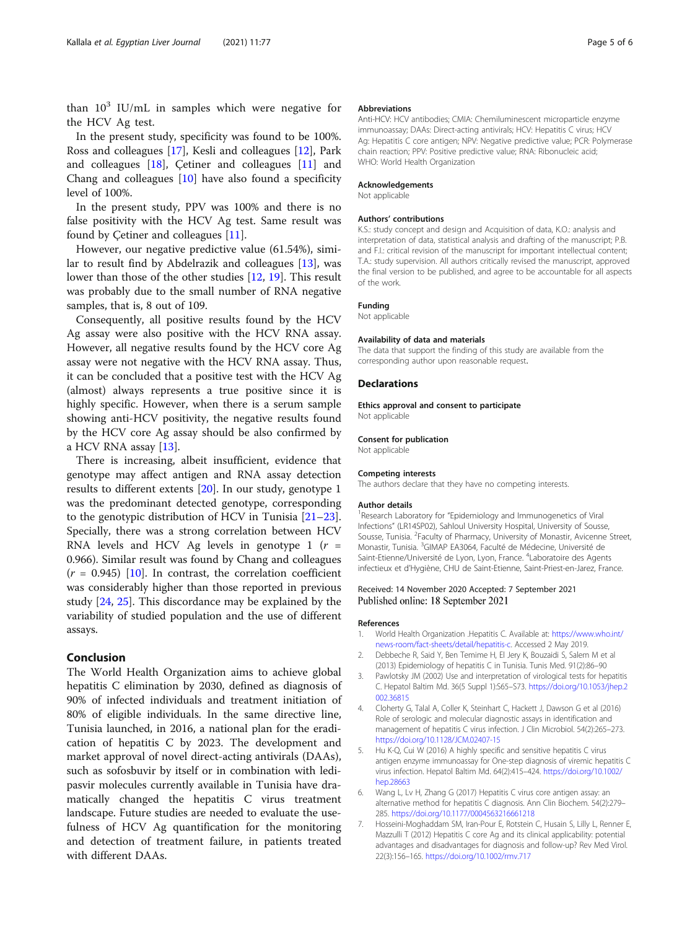<span id="page-4-0"></span>In the present study, specificity was found to be 100%. Ross and colleagues [\[17](#page-5-0)], Kesli and colleagues [[12](#page-5-0)], Park and colleagues [\[18\]](#page-5-0), Çetiner and colleagues [[11\]](#page-5-0) and Chang and colleagues [[10\]](#page-5-0) have also found a specificity level of 100%.

In the present study, PPV was 100% and there is no false positivity with the HCV Ag test. Same result was found by Çetiner and colleagues [[11\]](#page-5-0).

However, our negative predictive value (61.54%), similar to result find by Abdelrazik and colleagues [[13\]](#page-5-0), was lower than those of the other studies [[12](#page-5-0), [19](#page-5-0)]. This result was probably due to the small number of RNA negative samples, that is, 8 out of 109.

Consequently, all positive results found by the HCV Ag assay were also positive with the HCV RNA assay. However, all negative results found by the HCV core Ag assay were not negative with the HCV RNA assay. Thus, it can be concluded that a positive test with the HCV Ag (almost) always represents a true positive since it is highly specific. However, when there is a serum sample showing anti-HCV positivity, the negative results found by the HCV core Ag assay should be also confirmed by a HCV RNA assay [\[13](#page-5-0)].

There is increasing, albeit insufficient, evidence that genotype may affect antigen and RNA assay detection results to different extents [\[20\]](#page-5-0). In our study, genotype 1 was the predominant detected genotype, corresponding to the genotypic distribution of HCV in Tunisia [[21](#page-5-0)–[23](#page-5-0)]. Specially, there was a strong correlation between HCV RNA levels and HCV Ag levels in genotype 1  $(r =$ 0.966). Similar result was found by Chang and colleagues  $(r = 0.945)$  [\[10](#page-5-0)]. In contrast, the correlation coefficient was considerably higher than those reported in previous study [[24,](#page-5-0) [25\]](#page-5-0). This discordance may be explained by the variability of studied population and the use of different assays.

#### Conclusion

The World Health Organization aims to achieve global hepatitis C elimination by 2030, defined as diagnosis of 90% of infected individuals and treatment initiation of 80% of eligible individuals. In the same directive line, Tunisia launched, in 2016, a national plan for the eradication of hepatitis C by 2023. The development and market approval of novel direct-acting antivirals (DAAs), such as sofosbuvir by itself or in combination with ledipasvir molecules currently available in Tunisia have dramatically changed the hepatitis C virus treatment landscape. Future studies are needed to evaluate the usefulness of HCV Ag quantification for the monitoring and detection of treatment failure, in patients treated with different DAAs.

#### Abbreviations

Anti-HCV: HCV antibodies; CMIA: Chemiluminescent microparticle enzyme immunoassay; DAAs: Direct-acting antivirals; HCV: Hepatitis C virus; HCV Ag: Hepatitis C core antigen; NPV: Negative predictive value; PCR: Polymerase chain reaction; PPV: Positive predictive value; RNA: Ribonucleic acid; WHO: World Health Organization

#### Acknowledgements

Not applicable

#### Authors' contributions

K.S.: study concept and design and Acquisition of data, K.O.: analysis and interpretation of data, statistical analysis and drafting of the manuscript; P.B. and F.I.: critical revision of the manuscript for important intellectual content; T.A.: study supervision. All authors critically revised the manuscript, approved the final version to be published, and agree to be accountable for all aspects of the work.

#### Funding

Not applicable

#### Availability of data and materials

The data that support the finding of this study are available from the corresponding author upon reasonable request.

#### Declarations

#### Ethics approval and consent to participate

Not applicable

#### Consent for publication

Not applicable

#### Competing interests

The authors declare that they have no competing interests.

#### Author details

<sup>1</sup>Research Laboratory for "Epidemiology and Immunogenetics of Viral Infections" (LR14SP02), Sahloul University Hospital, University of Sousse, Sousse, Tunisia. <sup>2</sup> Faculty of Pharmacy, University of Monastir, Avicenne Street Monastir, Tunisia. <sup>3</sup>GIMAP EA3064, Faculté de Médecine, Université de Saint-Etienne/Université de Lyon, Lyon, France. <sup>4</sup>Laboratoire des Agents infectieux et d'Hygiène, CHU de Saint-Etienne, Saint-Priest-en-Jarez, France.

#### Received: 14 November 2020 Accepted: 7 September 2021 Published online: 18 September 2021

#### References

- 1. World Health Organization .Hepatitis C. Available at: [https://www.who.int/](https://www.who.int/news-room/fact-sheets/detail/hepatitis-c) [news-room/fact-sheets/detail/hepatitis-c.](https://www.who.int/news-room/fact-sheets/detail/hepatitis-c) Accessed 2 May 2019.
- 2. Debbeche R, Said Y, Ben Temime H, El Jery K, Bouzaidi S, Salem M et al (2013) Epidemiology of hepatitis C in Tunisia. Tunis Med. 91(2):86–90
- 3. Pawlotsky JM (2002) Use and interpretation of virological tests for hepatitis C. Hepatol Baltim Md. 36(5 Suppl 1):S65–S73. [https://doi.org/10.1053/jhep.2](https://doi.org/10.1053/jhep.2002.36815) [002.36815](https://doi.org/10.1053/jhep.2002.36815)
- 4. Cloherty G, Talal A, Coller K, Steinhart C, Hackett J, Dawson G et al (2016) Role of serologic and molecular diagnostic assays in identification and management of hepatitis C virus infection. J Clin Microbiol. 54(2):265–273. <https://doi.org/10.1128/JCM.02407-15>
- 5. Hu K-Q, Cui W (2016) A highly specific and sensitive hepatitis C virus antigen enzyme immunoassay for One-step diagnosis of viremic hepatitis C virus infection. Hepatol Baltim Md. 64(2):415–424. [https://doi.org/10.1002/](https://doi.org/10.1002/hep.28663) [hep.28663](https://doi.org/10.1002/hep.28663)
- 6. Wang L, Lv H, Zhang G (2017) Hepatitis C virus core antigen assay: an alternative method for hepatitis C diagnosis. Ann Clin Biochem. 54(2):279– 285. <https://doi.org/10.1177/0004563216661218>
- 7. Hosseini-Moghaddam SM, Iran-Pour E, Rotstein C, Husain S, Lilly L, Renner E, Mazzulli T (2012) Hepatitis C core Ag and its clinical applicability: potential advantages and disadvantages for diagnosis and follow-up? Rev Med Virol. 22(3):156–165. <https://doi.org/10.1002/rmv.717>